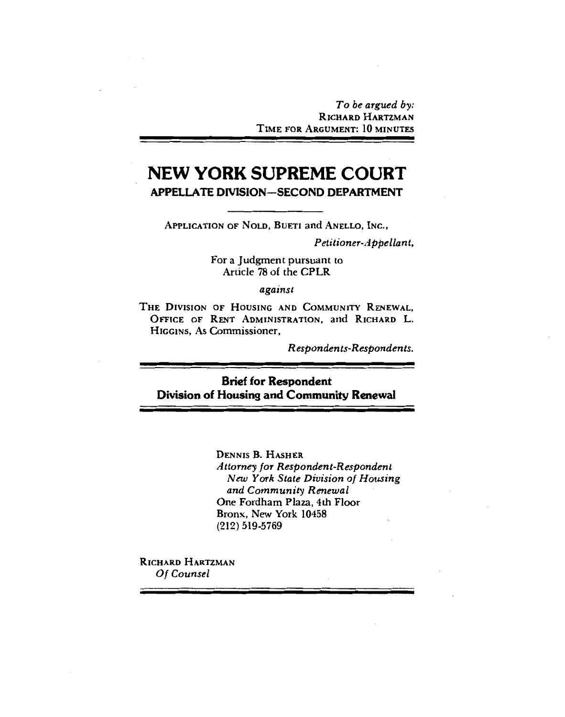To be argued by: RICHARD HARTZMAN TIME FOR ARGUMENT: 10 MINUTES

# **NEW YORK SUPREME COURT APPELLATE DIVISION-SECOND DEPARTMENT**

APPLICATION OF NOLD, BUETI and ANELLO, INC.,

Petitioner-Appellant,

For a Judgment pursuant to Article 78 of the CPLR

against

THE DIVISION OF HOUSING AND COMMUNITY RENEWAL. OFFICE OF RENT ADMINISTRATION, and RICHARD L. HIGGINS, As Commissioner,

Respondents-Respondents.

# **Brief for Respondent** Division of Housing and Community Renewal

**DENNIS B. HASHER** Attorney for Respondent-Respondent New York State Division of Housing and Community Renewal One Fordham Plaza, 4th Floor Bronx. New York 10458  $(212) 519 - 5769$ 

RICHARD HARTZMAN Of Counsel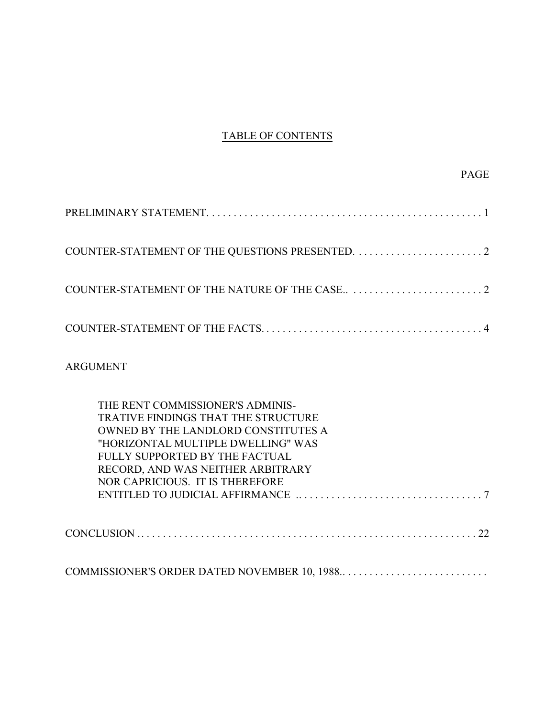# TABLE OF CONTENTS

ARGUMENT

| THE RENT COMMISSIONER'S ADMINIS-             |
|----------------------------------------------|
| TRATIVE FINDINGS THAT THE STRUCTURE          |
| OWNED BY THE LANDLORD CONSTITUTES A          |
| "HORIZONTAL MULTIPLE DWELLING" WAS           |
| FULLY SUPPORTED BY THE FACTUAL               |
| RECORD, AND WAS NEITHER ARBITRARY            |
| NOR CAPRICIOUS. IT IS THEREFORE              |
|                                              |
|                                              |
|                                              |
| COMMISSIONER'S ORDER DATED NOVEMBER 10, 1988 |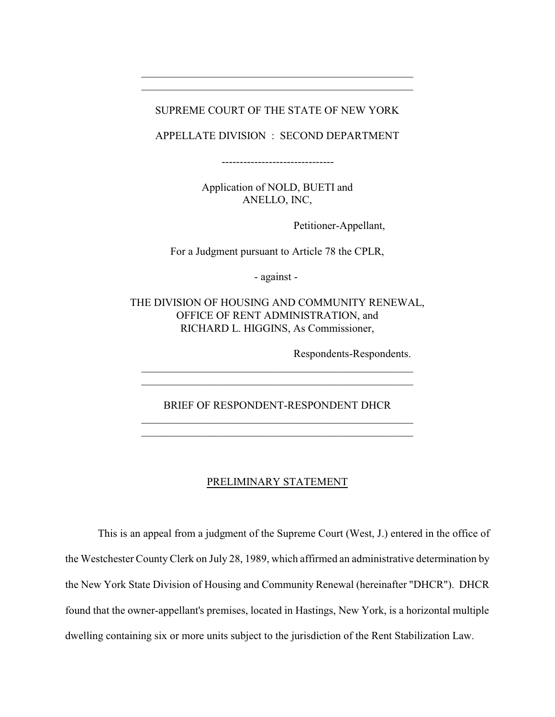### SUPREME COURT OF THE STATE OF NEW YORK

\_\_\_\_\_\_\_\_\_\_\_\_\_\_\_\_\_\_\_\_\_\_\_\_\_\_\_\_\_\_\_\_\_\_\_\_\_\_\_\_\_\_\_\_\_\_\_\_\_\_ \_\_\_\_\_\_\_\_\_\_\_\_\_\_\_\_\_\_\_\_\_\_\_\_\_\_\_\_\_\_\_\_\_\_\_\_\_\_\_\_\_\_\_\_\_\_\_\_\_\_

APPELLATE DIVISION : SECOND DEPARTMENT

-------------------------------

Application of NOLD, BUETI and ANELLO, INC,

Petitioner-Appellant,

For a Judgment pursuant to Article 78 the CPLR,

- against -

THE DIVISION OF HOUSING AND COMMUNITY RENEWAL, OFFICE OF RENT ADMINISTRATION, and RICHARD L. HIGGINS, As Commissioner,

Respondents-Respondents.

BRIEF OF RESPONDENT-RESPONDENT DHCR \_\_\_\_\_\_\_\_\_\_\_\_\_\_\_\_\_\_\_\_\_\_\_\_\_\_\_\_\_\_\_\_\_\_\_\_\_\_\_\_\_\_\_\_\_\_\_\_\_\_

\_\_\_\_\_\_\_\_\_\_\_\_\_\_\_\_\_\_\_\_\_\_\_\_\_\_\_\_\_\_\_\_\_\_\_\_\_\_\_\_\_\_\_\_\_\_\_\_\_\_ \_\_\_\_\_\_\_\_\_\_\_\_\_\_\_\_\_\_\_\_\_\_\_\_\_\_\_\_\_\_\_\_\_\_\_\_\_\_\_\_\_\_\_\_\_\_\_\_\_\_

#### PRELIMINARY STATEMENT

This is an appeal from a judgment of the Supreme Court (West, J.) entered in the office of the Westchester County Clerk on July 28, 1989, which affirmed an administrative determination by the New York State Division of Housing and Community Renewal (hereinafter "DHCR"). DHCR found that the owner-appellant's premises, located in Hastings, New York, is a horizontal multiple dwelling containing six or more units subject to the jurisdiction of the Rent Stabilization Law.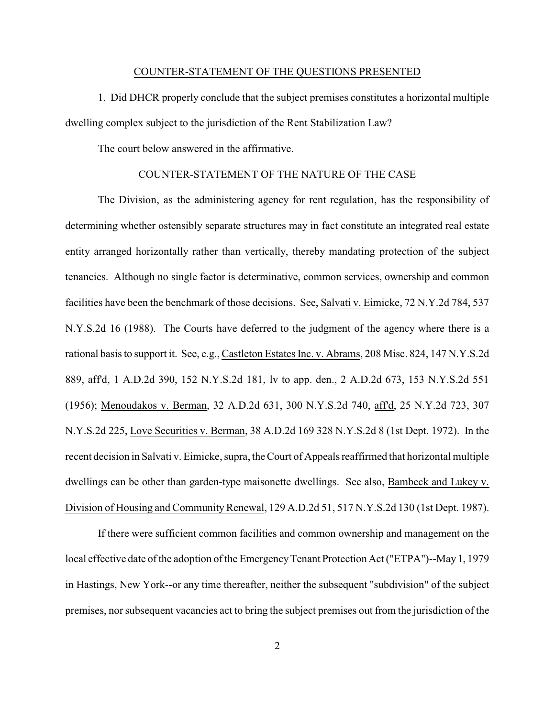#### COUNTER-STATEMENT OF THE QUESTIONS PRESENTED

1. Did DHCR properly conclude that the subject premises constitutes a horizontal multiple dwelling complex subject to the jurisdiction of the Rent Stabilization Law?

The court below answered in the affirmative.

#### COUNTER-STATEMENT OF THE NATURE OF THE CASE

The Division, as the administering agency for rent regulation, has the responsibility of determining whether ostensibly separate structures may in fact constitute an integrated real estate entity arranged horizontally rather than vertically, thereby mandating protection of the subject tenancies. Although no single factor is determinative, common services, ownership and common facilities have been the benchmark of those decisions. See, Salvati v. Eimicke, 72 N.Y.2d 784, 537 N.Y.S.2d 16 (1988). The Courts have deferred to the judgment of the agency where there is a rational basis to support it. See, e.g., Castleton Estates Inc. v. Abrams, 208 Misc. 824, 147 N.Y.S.2d 889, aff'd, 1 A.D.2d 390, 152 N.Y.S.2d 181, lv to app. den., 2 A.D.2d 673, 153 N.Y.S.2d 551 (1956); Menoudakos v. Berman, 32 A.D.2d 631, 300 N.Y.S.2d 740, aff'd, 25 N.Y.2d 723, 307 N.Y.S.2d 225, Love Securities v. Berman, 38 A.D.2d 169 328 N.Y.S.2d 8 (1st Dept. 1972). In the recent decision in Salvati v. Eimicke, supra, the Court of Appeals reaffirmed that horizontal multiple dwellings can be other than garden-type maisonette dwellings. See also, Bambeck and Lukey v. Division of Housing and Community Renewal, 129 A.D.2d 51, 517 N.Y.S.2d 130 (1st Dept. 1987).

If there were sufficient common facilities and common ownership and management on the local effective date of the adoption of the Emergency Tenant Protection Act ("ETPA")--May 1, 1979 in Hastings, New York--or any time thereafter, neither the subsequent "subdivision" of the subject premises, nor subsequent vacancies act to bring the subject premises out from the jurisdiction of the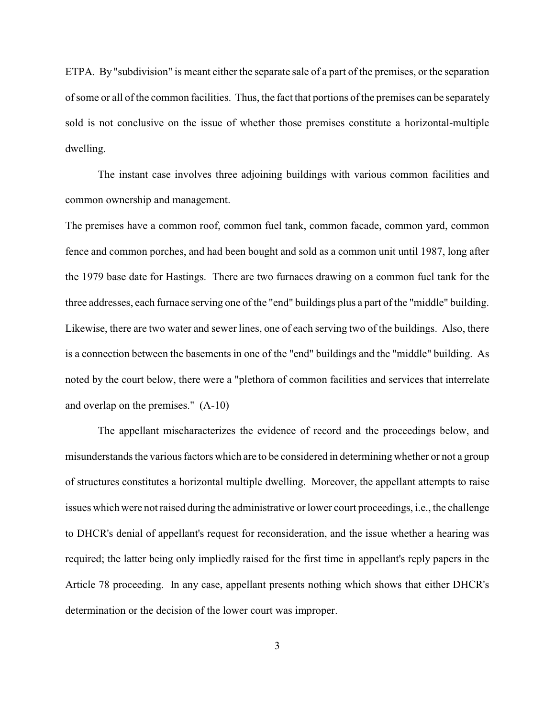ETPA. By "subdivision" is meant either the separate sale of a part of the premises, or the separation of some or all of the common facilities. Thus, the fact that portions of the premises can be separately sold is not conclusive on the issue of whether those premises constitute a horizontal-multiple dwelling.

The instant case involves three adjoining buildings with various common facilities and common ownership and management.

The premises have a common roof, common fuel tank, common facade, common yard, common fence and common porches, and had been bought and sold as a common unit until 1987, long after the 1979 base date for Hastings. There are two furnaces drawing on a common fuel tank for the three addresses, each furnace serving one of the "end" buildings plus a part of the "middle" building. Likewise, there are two water and sewer lines, one of each serving two of the buildings. Also, there is a connection between the basements in one of the "end" buildings and the "middle" building. As noted by the court below, there were a "plethora of common facilities and services that interrelate and overlap on the premises." (A-10)

The appellant mischaracterizes the evidence of record and the proceedings below, and misunderstands the various factors which are to be considered in determining whether or not a group of structures constitutes a horizontal multiple dwelling. Moreover, the appellant attempts to raise issues which were not raised during the administrative or lower court proceedings, i.e., the challenge to DHCR's denial of appellant's request for reconsideration, and the issue whether a hearing was required; the latter being only impliedly raised for the first time in appellant's reply papers in the Article 78 proceeding. In any case, appellant presents nothing which shows that either DHCR's determination or the decision of the lower court was improper.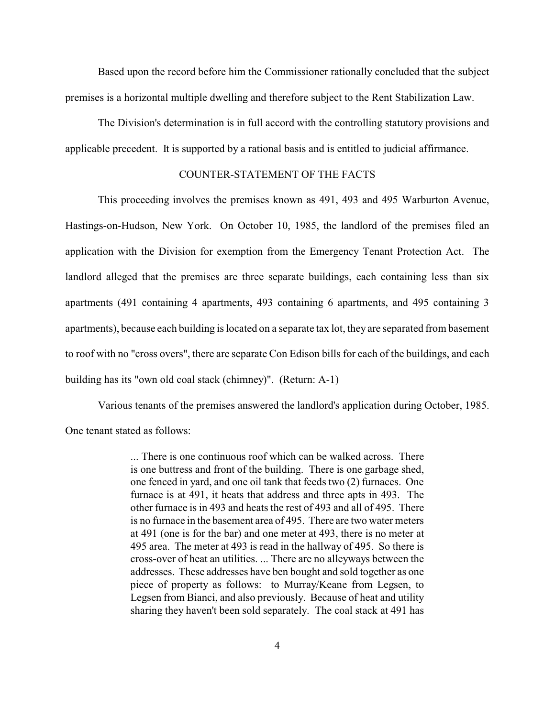Based upon the record before him the Commissioner rationally concluded that the subject premises is a horizontal multiple dwelling and therefore subject to the Rent Stabilization Law.

The Division's determination is in full accord with the controlling statutory provisions and applicable precedent. It is supported by a rational basis and is entitled to judicial affirmance.

#### COUNTER-STATEMENT OF THE FACTS

This proceeding involves the premises known as 491, 493 and 495 Warburton Avenue, Hastings-on-Hudson, New York. On October 10, 1985, the landlord of the premises filed an application with the Division for exemption from the Emergency Tenant Protection Act. The landlord alleged that the premises are three separate buildings, each containing less than six apartments (491 containing 4 apartments, 493 containing 6 apartments, and 495 containing 3 apartments), because each building is located on a separate tax lot, they are separated from basement to roof with no "cross overs", there are separate Con Edison bills for each of the buildings, and each building has its "own old coal stack (chimney)". (Return: A-1)

Various tenants of the premises answered the landlord's application during October, 1985. One tenant stated as follows:

> ... There is one continuous roof which can be walked across. There is one buttress and front of the building. There is one garbage shed, one fenced in yard, and one oil tank that feeds two (2) furnaces. One furnace is at 491, it heats that address and three apts in 493. The other furnace is in 493 and heats the rest of 493 and all of 495. There is no furnace in the basement area of 495. There are two water meters at 491 (one is for the bar) and one meter at 493, there is no meter at 495 area. The meter at 493 is read in the hallway of 495. So there is cross-over of heat an utilities. ... There are no alleyways between the addresses. These addresses have ben bought and sold together as one piece of property as follows: to Murray/Keane from Legsen, to Legsen from Bianci, and also previously. Because of heat and utility sharing they haven't been sold separately. The coal stack at 491 has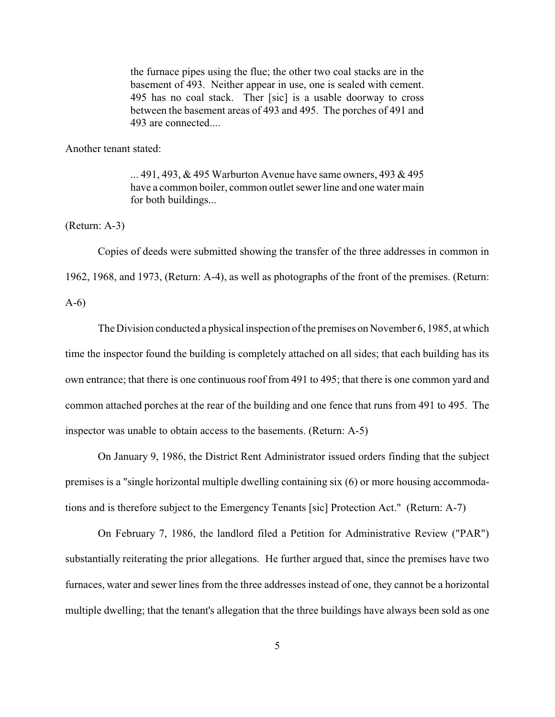the furnace pipes using the flue; the other two coal stacks are in the basement of 493. Neither appear in use, one is sealed with cement. 495 has no coal stack. Ther [sic] is a usable doorway to cross between the basement areas of 493 and 495. The porches of 491 and 493 are connected....

Another tenant stated:

... 491, 493, & 495 Warburton Avenue have same owners, 493 & 495 have a common boiler, common outlet sewer line and one water main for both buildings...

(Return: A-3)

Copies of deeds were submitted showing the transfer of the three addresses in common in 1962, 1968, and 1973, (Return: A-4), as well as photographs of the front of the premises. (Return: A-6)

The Division conducted a physical inspection of the premises on November 6, 1985, at which time the inspector found the building is completely attached on all sides; that each building has its own entrance; that there is one continuous roof from 491 to 495; that there is one common yard and common attached porches at the rear of the building and one fence that runs from 491 to 495. The inspector was unable to obtain access to the basements. (Return: A-5)

On January 9, 1986, the District Rent Administrator issued orders finding that the subject premises is a "single horizontal multiple dwelling containing six (6) or more housing accommodations and is therefore subject to the Emergency Tenants [sic] Protection Act." (Return: A-7)

On February 7, 1986, the landlord filed a Petition for Administrative Review ("PAR") substantially reiterating the prior allegations. He further argued that, since the premises have two furnaces, water and sewer lines from the three addresses instead of one, they cannot be a horizontal multiple dwelling; that the tenant's allegation that the three buildings have always been sold as one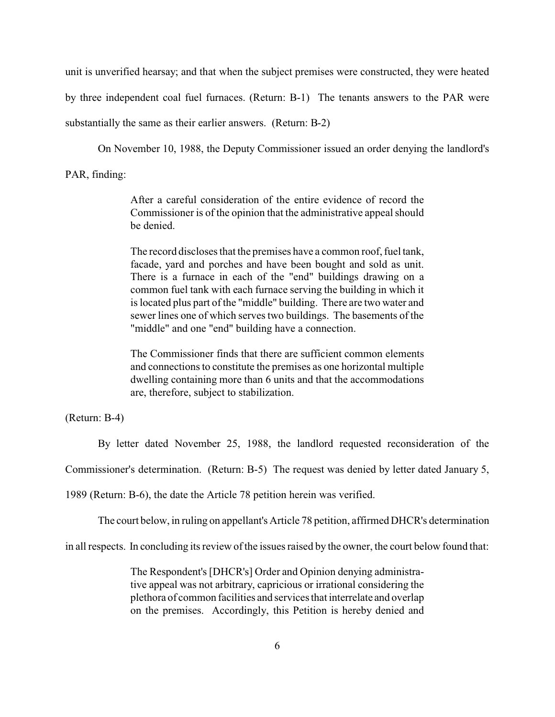unit is unverified hearsay; and that when the subject premises were constructed, they were heated by three independent coal fuel furnaces. (Return: B-1) The tenants answers to the PAR were substantially the same as their earlier answers. (Return: B-2)

On November 10, 1988, the Deputy Commissioner issued an order denying the landlord's

PAR, finding:

After a careful consideration of the entire evidence of record the Commissioner is of the opinion that the administrative appeal should be denied.

The record discloses that the premises have a common roof, fuel tank, facade, yard and porches and have been bought and sold as unit. There is a furnace in each of the "end" buildings drawing on a common fuel tank with each furnace serving the building in which it is located plus part of the "middle" building. There are two water and sewer lines one of which serves two buildings. The basements of the "middle" and one "end" building have a connection.

The Commissioner finds that there are sufficient common elements and connections to constitute the premises as one horizontal multiple dwelling containing more than 6 units and that the accommodations are, therefore, subject to stabilization.

(Return: B-4)

By letter dated November 25, 1988, the landlord requested reconsideration of the

Commissioner's determination. (Return: B-5) The request was denied by letter dated January 5,

1989 (Return: B-6), the date the Article 78 petition herein was verified.

The court below, in ruling on appellant's Article 78 petition, affirmed DHCR's determination

in all respects. In concluding its review of the issues raised by the owner, the court below found that:

The Respondent's [DHCR's] Order and Opinion denying administrative appeal was not arbitrary, capricious or irrational considering the plethora of common facilities and services that interrelate and overlap on the premises. Accordingly, this Petition is hereby denied and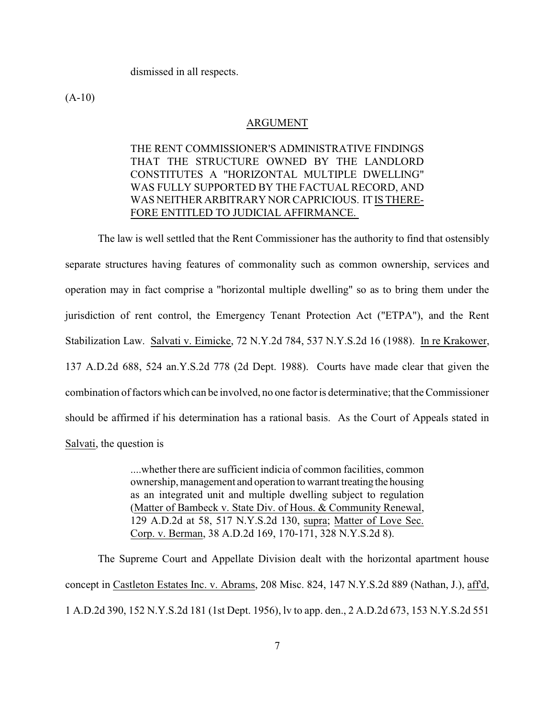dismissed in all respects.

 $(A-10)$ 

#### ARGUMENT

# THE RENT COMMISSIONER'S ADMINISTRATIVE FINDINGS THAT THE STRUCTURE OWNED BY THE LANDLORD CONSTITUTES A "HORIZONTAL MULTIPLE DWELLING" WAS FULLY SUPPORTED BY THE FACTUAL RECORD, AND WAS NEITHER ARBITRARY NOR CAPRICIOUS. IT IS THERE-FORE ENTITLED TO JUDICIAL AFFIRMANCE.

The law is well settled that the Rent Commissioner has the authority to find that ostensibly separate structures having features of commonality such as common ownership, services and operation may in fact comprise a "horizontal multiple dwelling" so as to bring them under the jurisdiction of rent control, the Emergency Tenant Protection Act ("ETPA"), and the Rent Stabilization Law. Salvati v. Eimicke, 72 N.Y.2d 784, 537 N.Y.S.2d 16 (1988). In re Krakower, 137 A.D.2d 688, 524 an.Y.S.2d 778 (2d Dept. 1988). Courts have made clear that given the combination of factors which can be involved, no one factor is determinative; that the Commissioner should be affirmed if his determination has a rational basis. As the Court of Appeals stated in Salvati, the question is

> ....whether there are sufficient indicia of common facilities, common ownership, management and operation to warrant treating the housing as an integrated unit and multiple dwelling subject to regulation (Matter of Bambeck v. State Div. of Hous. & Community Renewal, 129 A.D.2d at 58, 517 N.Y.S.2d 130, supra; Matter of Love Sec. Corp. v. Berman, 38 A.D.2d 169, 170-171, 328 N.Y.S.2d 8).

The Supreme Court and Appellate Division dealt with the horizontal apartment house concept in Castleton Estates Inc. v. Abrams, 208 Misc. 824, 147 N.Y.S.2d 889 (Nathan, J.), aff'd, 1 A.D.2d 390, 152 N.Y.S.2d 181 (1st Dept. 1956), lv to app. den., 2 A.D.2d 673, 153 N.Y.S.2d 551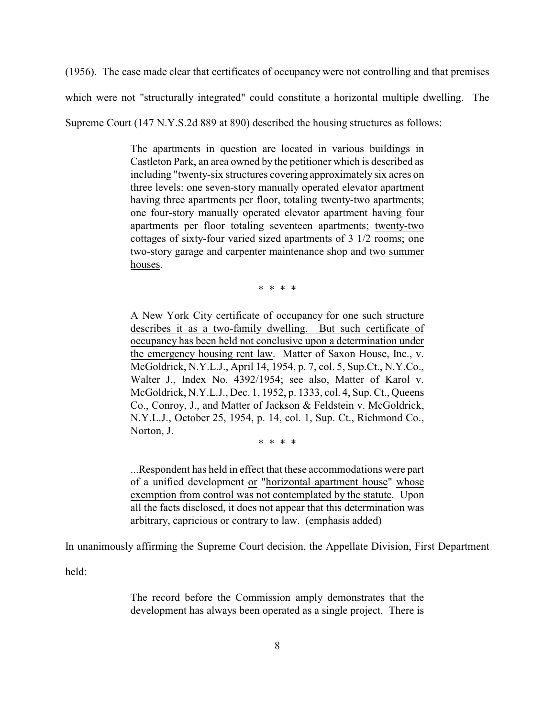(1956). The case made clear that certificates of occupancy were not controlling and that premises

which were not "structurally integrated" could constitute a horizontal multiple dwelling. The

Supreme Court (147 N.Y.S.2d 889 at 890) described the housing structures as follows:

The apartments in question are located in various buildings in Castleton Park, an area owned by the petitioner which is described as including "twenty-six structures covering approximately six acres on three levels: one seven-story manually operated elevator apartment having three apartments per floor, totaling twenty-two apartments; one four-story manually operated elevator apartment having four apartments per floor totaling seventeen apartments; twenty-two cottages of sixty-four varied sized apartments of 3 1/2 rooms; one two-story garage and carpenter maintenance shop and two summer houses.

\* \* \* \*

A New York City certificate of occupancy for one such structure describes it as a two-family dwelling. But such certificate of occupancy has been held not conclusive upon a determination under the emergency housing rent law. Matter of Saxon House, Inc., v. McGoldrick, N.Y.L.J., April 14, 1954, p. 7, col. 5, Sup.Ct., N.Y.Co., Walter J., Index No. 4392/1954; see also, Matter of Karol v. McGoldrick, N.Y.L.J., Dec. 1, 1952, p. 1333, col. 4, Sup. Ct., Queens Co., Conroy, J., and Matter of Jackson & Feldstein v. McGoldrick, N.Y.L.J., October 25, 1954, p. 14, col. 1, Sup. Ct., Richmond Co., Norton, J.

\* \* \* \*

...Respondent has held in effect that these accommodations were part of a unified development or "horizontal apartment house" whose exemption from control was not contemplated by the statute. Upon all the facts disclosed, it does not appear that this determination was arbitrary, capricious or contrary to law. (emphasis added)

In unanimously affirming the Supreme Court decision, the Appellate Division, First Department

held:

The record before the Commission amply demonstrates that the development has always been operated as a single project. There is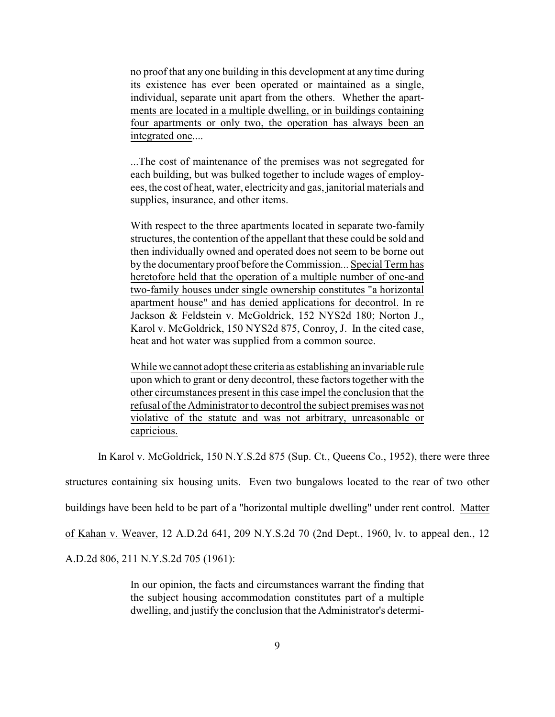no proof that any one building in this development at any time during its existence has ever been operated or maintained as a single, individual, separate unit apart from the others. Whether the apartments are located in a multiple dwelling, or in buildings containing four apartments or only two, the operation has always been an integrated one....

...The cost of maintenance of the premises was not segregated for each building, but was bulked together to include wages of employees, the cost of heat, water, electricityand gas, janitorial materials and supplies, insurance, and other items.

With respect to the three apartments located in separate two-family structures, the contention of the appellant that these could be sold and then individually owned and operated does not seem to be borne out by the documentary proof before the Commission... Special Term has heretofore held that the operation of a multiple number of one-and two-family houses under single ownership constitutes "a horizontal apartment house" and has denied applications for decontrol. In re Jackson & Feldstein v. McGoldrick, 152 NYS2d 180; Norton J., Karol v. McGoldrick, 150 NYS2d 875, Conroy, J. In the cited case, heat and hot water was supplied from a common source.

While we cannot adopt these criteria as establishing an invariable rule upon which to grant or deny decontrol, these factors together with the other circumstances present in this case impel the conclusion that the refusal of the Administrator to decontrol the subject premises was not violative of the statute and was not arbitrary, unreasonable or capricious.

In Karol v. McGoldrick, 150 N.Y.S.2d 875 (Sup. Ct., Queens Co., 1952), there were three

structures containing six housing units. Even two bungalows located to the rear of two other

buildings have been held to be part of a "horizontal multiple dwelling" under rent control. Matter

of Kahan v. Weaver, 12 A.D.2d 641, 209 N.Y.S.2d 70 (2nd Dept., 1960, lv. to appeal den., 12

A.D.2d 806, 211 N.Y.S.2d 705 (1961):

In our opinion, the facts and circumstances warrant the finding that the subject housing accommodation constitutes part of a multiple dwelling, and justify the conclusion that the Administrator's determi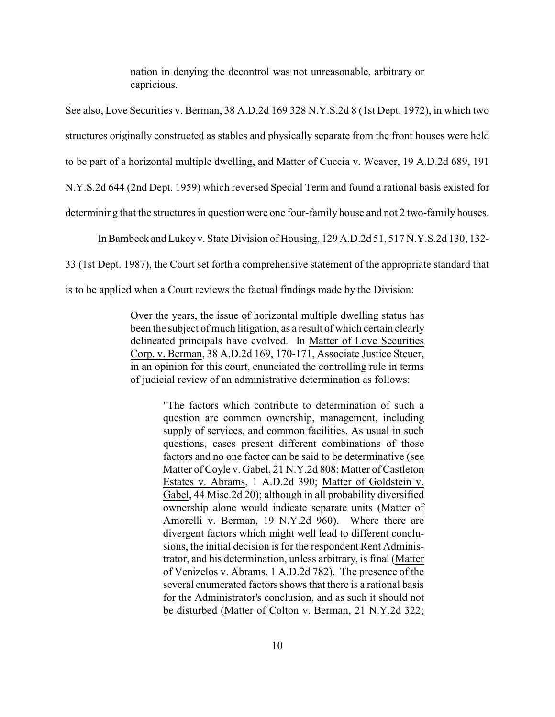nation in denying the decontrol was not unreasonable, arbitrary or capricious.

See also, Love Securities v. Berman, 38 A.D.2d 169 328 N.Y.S.2d 8 (1st Dept. 1972), in which two

structures originally constructed as stables and physically separate from the front houses were held

to be part of a horizontal multiple dwelling, and Matter of Cuccia v. Weaver, 19 A.D.2d 689, 191

N.Y.S.2d 644 (2nd Dept. 1959) which reversed Special Term and found a rational basis existed for

determining that the structures in question were one four-family house and not 2 two-family houses.

In Bambeck and Lukey v. State Division of Housing, 129 A.D.2d 51, 517 N.Y.S.2d 130, 132-

33 (1st Dept. 1987), the Court set forth a comprehensive statement of the appropriate standard that

is to be applied when a Court reviews the factual findings made by the Division:

Over the years, the issue of horizontal multiple dwelling status has been the subject of much litigation, as a result of which certain clearly delineated principals have evolved. In Matter of Love Securities Corp. v. Berman, 38 A.D.2d 169, 170-171, Associate Justice Steuer, in an opinion for this court, enunciated the controlling rule in terms of judicial review of an administrative determination as follows:

> "The factors which contribute to determination of such a question are common ownership, management, including supply of services, and common facilities. As usual in such questions, cases present different combinations of those factors and no one factor can be said to be determinative (see Matter of Coyle v. Gabel, 21 N.Y.2d 808; Matter of Castleton Estates v. Abrams, 1 A.D.2d 390; Matter of Goldstein v. Gabel, 44 Misc.2d 20); although in all probability diversified ownership alone would indicate separate units (Matter of Amorelli v. Berman, 19 N.Y.2d 960). Where there are divergent factors which might well lead to different conclusions, the initial decision is for the respondent Rent Administrator, and his determination, unless arbitrary, is final (Matter of Venizelos v. Abrams, 1 A.D.2d 782). The presence of the several enumerated factors shows that there is a rational basis for the Administrator's conclusion, and as such it should not be disturbed (Matter of Colton v. Berman, 21 N.Y.2d 322;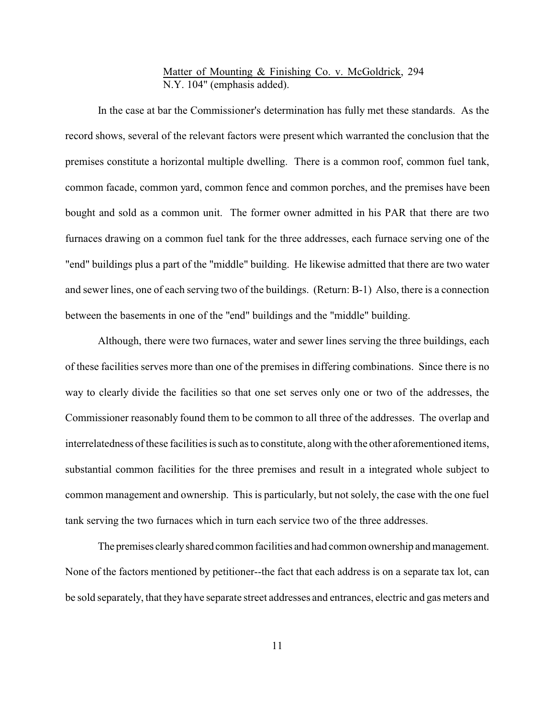## Matter of Mounting & Finishing Co. v. McGoldrick, 294 N.Y. 104" (emphasis added).

In the case at bar the Commissioner's determination has fully met these standards. As the record shows, several of the relevant factors were present which warranted the conclusion that the premises constitute a horizontal multiple dwelling. There is a common roof, common fuel tank, common facade, common yard, common fence and common porches, and the premises have been bought and sold as a common unit. The former owner admitted in his PAR that there are two furnaces drawing on a common fuel tank for the three addresses, each furnace serving one of the "end" buildings plus a part of the "middle" building. He likewise admitted that there are two water and sewer lines, one of each serving two of the buildings. (Return: B-1) Also, there is a connection between the basements in one of the "end" buildings and the "middle" building.

Although, there were two furnaces, water and sewer lines serving the three buildings, each of these facilities serves more than one of the premises in differing combinations. Since there is no way to clearly divide the facilities so that one set serves only one or two of the addresses, the Commissioner reasonably found them to be common to all three of the addresses. The overlap and interrelatedness of these facilities is such as to constitute, along with the other aforementioned items, substantial common facilities for the three premises and result in a integrated whole subject to common management and ownership. This is particularly, but not solely, the case with the one fuel tank serving the two furnaces which in turn each service two of the three addresses.

The premises clearly shared common facilities and had common ownership and management. None of the factors mentioned by petitioner--the fact that each address is on a separate tax lot, can be sold separately, that they have separate street addresses and entrances, electric and gas meters and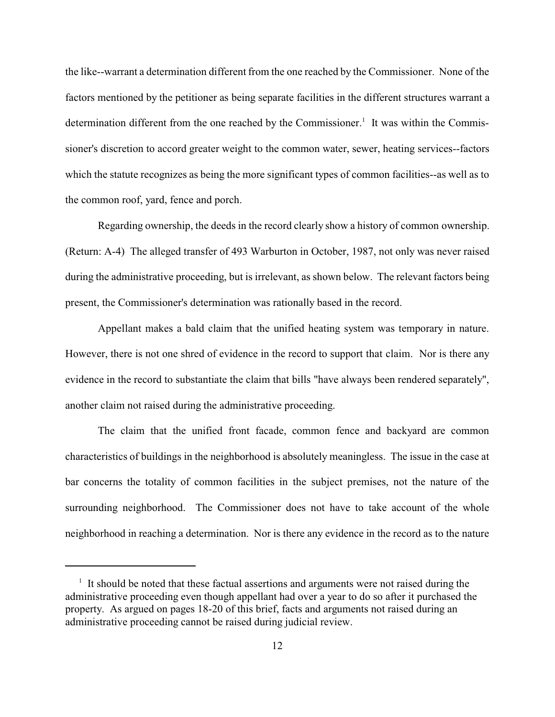the like--warrant a determination different from the one reached by the Commissioner. None of the factors mentioned by the petitioner as being separate facilities in the different structures warrant a determination different from the one reached by the Commissioner.<sup>1</sup> It was within the Commissioner's discretion to accord greater weight to the common water, sewer, heating services--factors which the statute recognizes as being the more significant types of common facilities--as well as to the common roof, yard, fence and porch.

Regarding ownership, the deeds in the record clearly show a history of common ownership. (Return: A-4) The alleged transfer of 493 Warburton in October, 1987, not only was never raised during the administrative proceeding, but is irrelevant, as shown below. The relevant factors being present, the Commissioner's determination was rationally based in the record.

Appellant makes a bald claim that the unified heating system was temporary in nature. However, there is not one shred of evidence in the record to support that claim. Nor is there any evidence in the record to substantiate the claim that bills "have always been rendered separately", another claim not raised during the administrative proceeding.

The claim that the unified front facade, common fence and backyard are common characteristics of buildings in the neighborhood is absolutely meaningless. The issue in the case at bar concerns the totality of common facilities in the subject premises, not the nature of the surrounding neighborhood. The Commissioner does not have to take account of the whole neighborhood in reaching a determination. Nor is there any evidence in the record as to the nature

<sup>&</sup>lt;sup>1</sup> It should be noted that these factual assertions and arguments were not raised during the administrative proceeding even though appellant had over a year to do so after it purchased the property. As argued on pages 18-20 of this brief, facts and arguments not raised during an administrative proceeding cannot be raised during judicial review.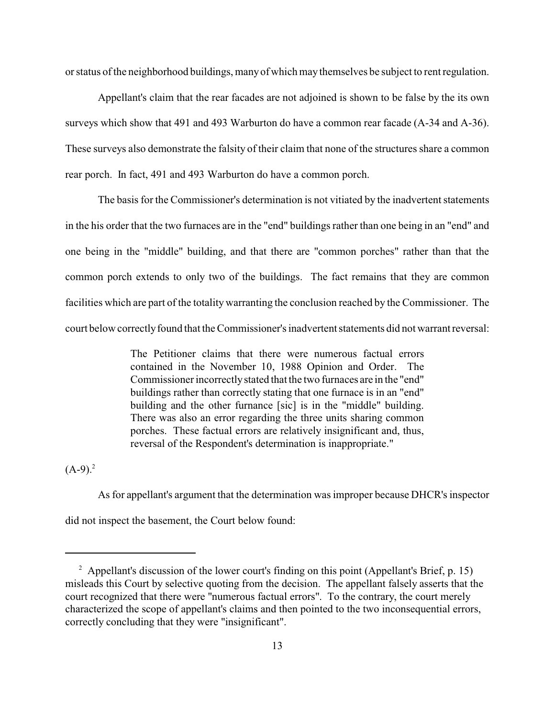or status of the neighborhood buildings, manyof which may themselves be subject to rent regulation.

Appellant's claim that the rear facades are not adjoined is shown to be false by the its own surveys which show that 491 and 493 Warburton do have a common rear facade (A-34 and A-36). These surveys also demonstrate the falsity of their claim that none of the structures share a common rear porch. In fact, 491 and 493 Warburton do have a common porch.

The basis for the Commissioner's determination is not vitiated by the inadvertent statements in the his order that the two furnaces are in the "end" buildings rather than one being in an "end" and one being in the "middle" building, and that there are "common porches" rather than that the common porch extends to only two of the buildings. The fact remains that they are common facilities which are part of the totality warranting the conclusion reached by the Commissioner. The court below correctly found that the Commissioner's inadvertent statements did not warrant reversal:

> The Petitioner claims that there were numerous factual errors contained in the November 10, 1988 Opinion and Order. The Commissioner incorrectlystated that the two furnaces are in the "end" buildings rather than correctly stating that one furnace is in an "end" building and the other furnance [sic] is in the "middle" building. There was also an error regarding the three units sharing common porches. These factual errors are relatively insignificant and, thus, reversal of the Respondent's determination is inappropriate."

 $(A-9)^2$ 

As for appellant's argument that the determination was improper because DHCR's inspector did not inspect the basement, the Court below found:

 $2$  Appellant's discussion of the lower court's finding on this point (Appellant's Brief, p. 15) misleads this Court by selective quoting from the decision. The appellant falsely asserts that the court recognized that there were "numerous factual errors". To the contrary, the court merely characterized the scope of appellant's claims and then pointed to the two inconsequential errors, correctly concluding that they were "insignificant".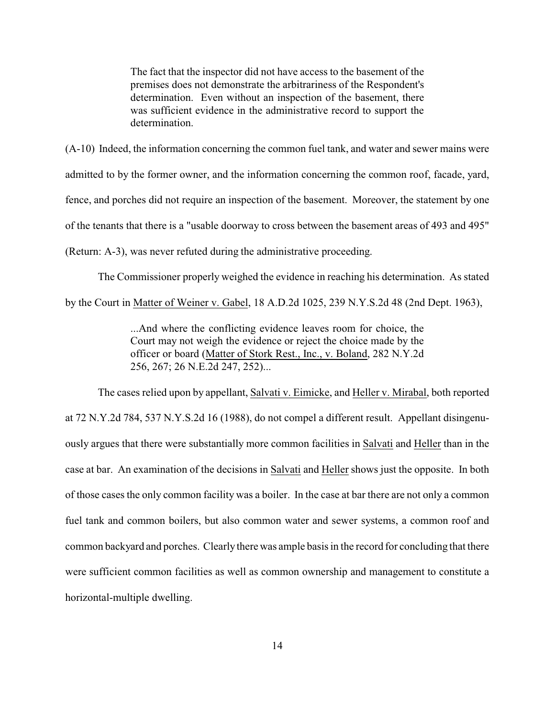The fact that the inspector did not have access to the basement of the premises does not demonstrate the arbitrariness of the Respondent's determination. Even without an inspection of the basement, there was sufficient evidence in the administrative record to support the determination.

(A-10) Indeed, the information concerning the common fuel tank, and water and sewer mains were admitted to by the former owner, and the information concerning the common roof, facade, yard, fence, and porches did not require an inspection of the basement. Moreover, the statement by one of the tenants that there is a "usable doorway to cross between the basement areas of 493 and 495" (Return: A-3), was never refuted during the administrative proceeding.

The Commissioner properly weighed the evidence in reaching his determination. As stated by the Court in Matter of Weiner v. Gabel, 18 A.D.2d 1025, 239 N.Y.S.2d 48 (2nd Dept. 1963),

> ...And where the conflicting evidence leaves room for choice, the Court may not weigh the evidence or reject the choice made by the officer or board (Matter of Stork Rest., Inc., v. Boland, 282 N.Y.2d 256, 267; 26 N.E.2d 247, 252)...

The cases relied upon by appellant, Salvati v. Eimicke, and Heller v. Mirabal, both reported at 72 N.Y.2d 784, 537 N.Y.S.2d 16 (1988), do not compel a different result. Appellant disingenuously argues that there were substantially more common facilities in Salvati and Heller than in the case at bar. An examination of the decisions in Salvati and Heller shows just the opposite. In both of those cases the only common facility was a boiler. In the case at bar there are not only a common fuel tank and common boilers, but also common water and sewer systems, a common roof and common backyard and porches. Clearlythere was ample basis in the record for concluding that there were sufficient common facilities as well as common ownership and management to constitute a horizontal-multiple dwelling.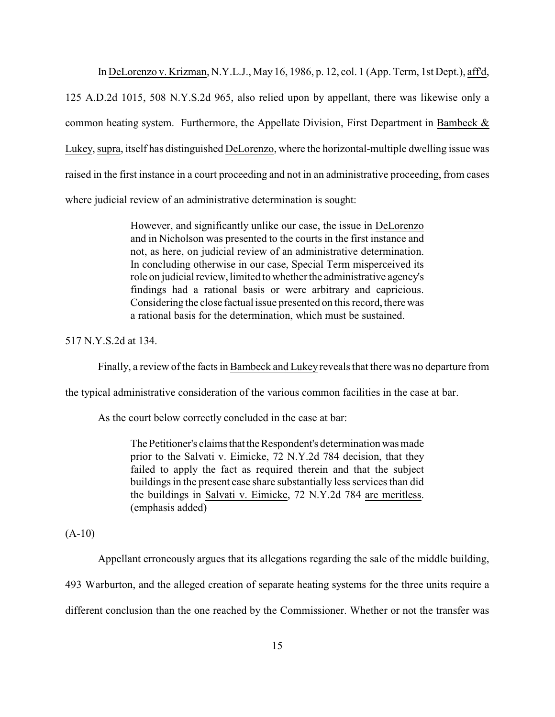In DeLorenzo v. Krizman, N.Y.L.J., May 16, 1986, p. 12, col. 1 (App. Term, 1st Dept.), aff'd, 125 A.D.2d 1015, 508 N.Y.S.2d 965, also relied upon by appellant, there was likewise only a common heating system. Furthermore, the Appellate Division, First Department in Bambeck & Lukey, supra, itself has distinguished DeLorenzo, where the horizontal-multiple dwelling issue was raised in the first instance in a court proceeding and not in an administrative proceeding, from cases where judicial review of an administrative determination is sought:

> However, and significantly unlike our case, the issue in DeLorenzo and in Nicholson was presented to the courts in the first instance and not, as here, on judicial review of an administrative determination. In concluding otherwise in our case, Special Term misperceived its role on judicial review, limited to whether the administrative agency's findings had a rational basis or were arbitrary and capricious. Considering the close factual issue presented on this record, there was a rational basis for the determination, which must be sustained.

517 N.Y.S.2d at 134.

Finally, a review of the facts in Bambeck and Lukey reveals that there was no departure from

the typical administrative consideration of the various common facilities in the case at bar.

As the court below correctly concluded in the case at bar:

The Petitioner's claims that the Respondent's determination was made prior to the Salvati v. Eimicke, 72 N.Y.2d 784 decision, that they failed to apply the fact as required therein and that the subject buildings in the present case share substantially less services than did the buildings in Salvati v. Eimicke, 72 N.Y.2d 784 are meritless. (emphasis added)

 $(A-10)$ 

Appellant erroneously argues that its allegations regarding the sale of the middle building,

493 Warburton, and the alleged creation of separate heating systems for the three units require a

different conclusion than the one reached by the Commissioner. Whether or not the transfer was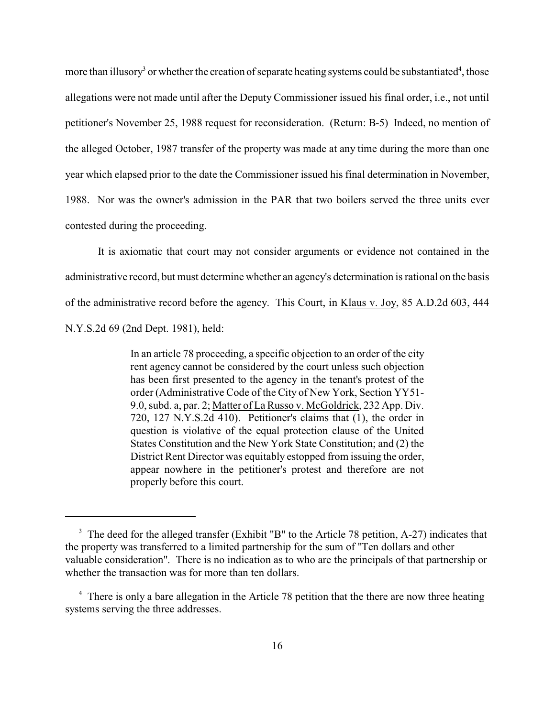more than illusory<sup>3</sup> or whether the creation of separate heating systems could be substantiated<sup>4</sup>, those allegations were not made until after the Deputy Commissioner issued his final order, i.e., not until petitioner's November 25, 1988 request for reconsideration. (Return: B-5) Indeed, no mention of the alleged October, 1987 transfer of the property was made at any time during the more than one year which elapsed prior to the date the Commissioner issued his final determination in November, 1988. Nor was the owner's admission in the PAR that two boilers served the three units ever contested during the proceeding.

It is axiomatic that court may not consider arguments or evidence not contained in the administrative record, but must determine whether an agency's determination is rational on the basis of the administrative record before the agency. This Court, in Klaus v. Joy, 85 A.D.2d 603, 444 N.Y.S.2d 69 (2nd Dept. 1981), held:

> In an article 78 proceeding, a specific objection to an order of the city rent agency cannot be considered by the court unless such objection has been first presented to the agency in the tenant's protest of the order (Administrative Code of the City of New York, Section YY51- 9.0, subd. a, par. 2; Matter of La Russo v. McGoldrick, 232 App. Div. 720, 127 N.Y.S.2d 410). Petitioner's claims that (1), the order in question is violative of the equal protection clause of the United States Constitution and the New York State Constitution; and (2) the District Rent Director was equitably estopped from issuing the order, appear nowhere in the petitioner's protest and therefore are not properly before this court.

<sup>&</sup>lt;sup>3</sup> The deed for the alleged transfer (Exhibit "B" to the Article 78 petition, A-27) indicates that the property was transferred to a limited partnership for the sum of "Ten dollars and other valuable consideration". There is no indication as to who are the principals of that partnership or whether the transaction was for more than ten dollars.

<sup>&</sup>lt;sup>4</sup> There is only a bare allegation in the Article 78 petition that the there are now three heating systems serving the three addresses.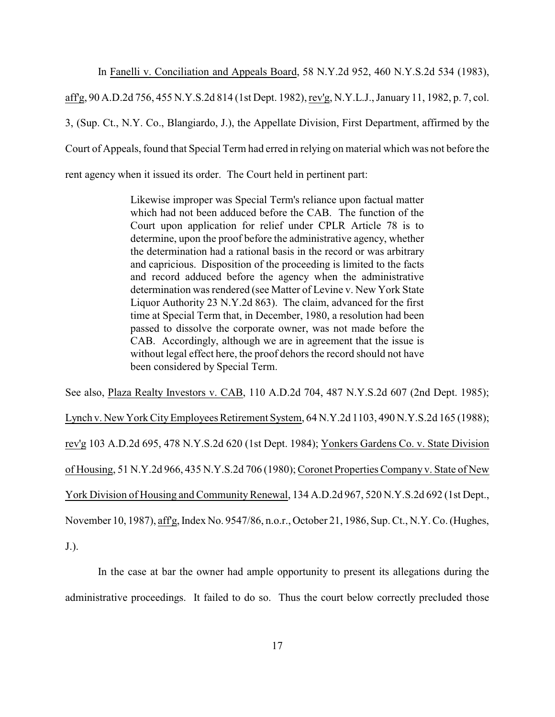In Fanelli v. Conciliation and Appeals Board, 58 N.Y.2d 952, 460 N.Y.S.2d 534 (1983),

aff'g, 90 A.D.2d 756, 455 N.Y.S.2d 814 (1st Dept. 1982), rev'g, N.Y.L.J., January 11, 1982, p. 7, col. 3, (Sup. Ct., N.Y. Co., Blangiardo, J.), the Appellate Division, First Department, affirmed by the Court of Appeals, found that Special Term had erred in relying on material which was not before the rent agency when it issued its order. The Court held in pertinent part:

> Likewise improper was Special Term's reliance upon factual matter which had not been adduced before the CAB. The function of the Court upon application for relief under CPLR Article 78 is to determine, upon the proof before the administrative agency, whether the determination had a rational basis in the record or was arbitrary and capricious. Disposition of the proceeding is limited to the facts and record adduced before the agency when the administrative determination was rendered (see Matter of Levine v. New York State Liquor Authority 23 N.Y.2d 863). The claim, advanced for the first time at Special Term that, in December, 1980, a resolution had been passed to dissolve the corporate owner, was not made before the CAB. Accordingly, although we are in agreement that the issue is without legal effect here, the proof dehors the record should not have been considered by Special Term.

See also, Plaza Realty Investors v. CAB, 110 A.D.2d 704, 487 N.Y.S.2d 607 (2nd Dept. 1985); Lynch v. New York CityEmployees Retirement System, 64 N.Y.2d 1103, 490 N.Y.S.2d 165 (1988); rev'g 103 A.D.2d 695, 478 N.Y.S.2d 620 (1st Dept. 1984); Yonkers Gardens Co. v. State Division of Housing, 51 N.Y.2d 966, 435 N.Y.S.2d 706 (1980); Coronet Properties Company v. State of New York Division of Housing and Community Renewal, 134 A.D.2d 967, 520 N.Y.S.2d 692 (1st Dept.,

November 10, 1987), aff'g, Index No. 9547/86, n.o.r., October 21, 1986, Sup. Ct., N.Y. Co. (Hughes,

J.).

In the case at bar the owner had ample opportunity to present its allegations during the administrative proceedings. It failed to do so. Thus the court below correctly precluded those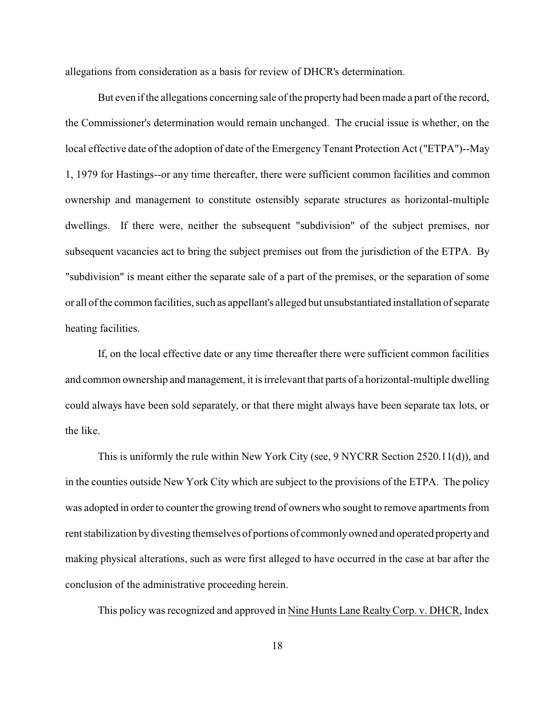allegations from consideration as a basis for review of DHCR's determination.

But even if the allegations concerning sale of the property had been made a part of the record, the Commissioner's determination would remain unchanged. The crucial issue is whether, on the local effective date of the adoption of date of the Emergency Tenant Protection Act ("ETPA")--May 1, 1979 for Hastings--or any time thereafter, there were sufficient common facilities and common ownership and management to constitute ostensibly separate structures as horizontal-multiple dwellings. If there were, neither the subsequent "subdivision" of the subject premises, nor subsequent vacancies act to bring the subject premises out from the jurisdiction of the ETPA. By "subdivision" is meant either the separate sale of a part of the premises, or the separation of some or all of the common facilities, such as appellant's alleged but unsubstantiated installation of separate heating facilities.

If, on the local effective date or any time thereafter there were sufficient common facilities and common ownership and management, it is irrelevant that parts of a horizontal-multiple dwelling could always have been sold separately, or that there might always have been separate tax lots, or the like.

This is uniformly the rule within New York City (see, 9 NYCRR Section 2520.11(d)), and in the counties outside New York City which are subject to the provisions of the ETPA. The policy was adopted in order to counter the growing trend of owners who sought to remove apartments from rent stabilization by divesting themselves of portions of commonlyowned and operated propertyand making physical alterations, such as were first alleged to have occurred in the case at bar after the conclusion of the administrative proceeding herein.

This policy was recognized and approved in Nine Hunts Lane RealtyCorp. v. DHCR, Index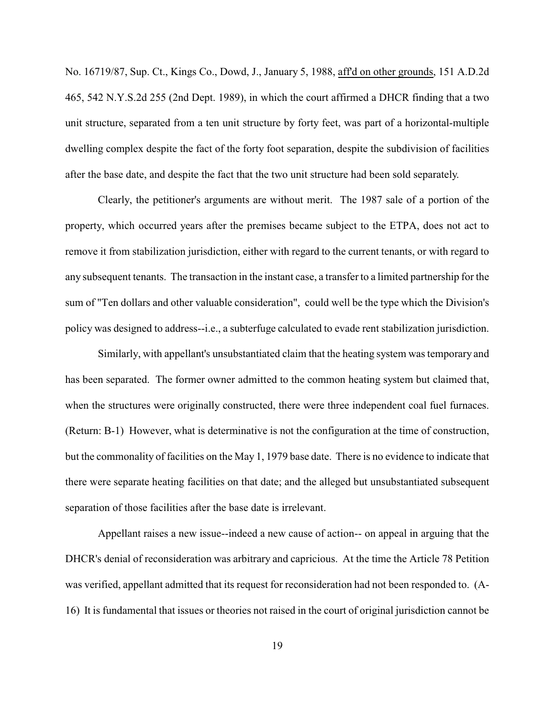No. 16719/87, Sup. Ct., Kings Co., Dowd, J., January 5, 1988, aff'd on other grounds, 151 A.D.2d 465, 542 N.Y.S.2d 255 (2nd Dept. 1989), in which the court affirmed a DHCR finding that a two unit structure, separated from a ten unit structure by forty feet, was part of a horizontal-multiple dwelling complex despite the fact of the forty foot separation, despite the subdivision of facilities after the base date, and despite the fact that the two unit structure had been sold separately.

Clearly, the petitioner's arguments are without merit. The 1987 sale of a portion of the property, which occurred years after the premises became subject to the ETPA, does not act to remove it from stabilization jurisdiction, either with regard to the current tenants, or with regard to any subsequent tenants. The transaction in the instant case, a transfer to a limited partnership for the sum of "Ten dollars and other valuable consideration", could well be the type which the Division's policy was designed to address--i.e., a subterfuge calculated to evade rent stabilization jurisdiction.

Similarly, with appellant's unsubstantiated claim that the heating system was temporary and has been separated. The former owner admitted to the common heating system but claimed that, when the structures were originally constructed, there were three independent coal fuel furnaces. (Return: B-1) However, what is determinative is not the configuration at the time of construction, but the commonality of facilities on the May 1, 1979 base date. There is no evidence to indicate that there were separate heating facilities on that date; and the alleged but unsubstantiated subsequent separation of those facilities after the base date is irrelevant.

Appellant raises a new issue--indeed a new cause of action-- on appeal in arguing that the DHCR's denial of reconsideration was arbitrary and capricious. At the time the Article 78 Petition was verified, appellant admitted that its request for reconsideration had not been responded to. (A-16) It is fundamental that issues or theories not raised in the court of original jurisdiction cannot be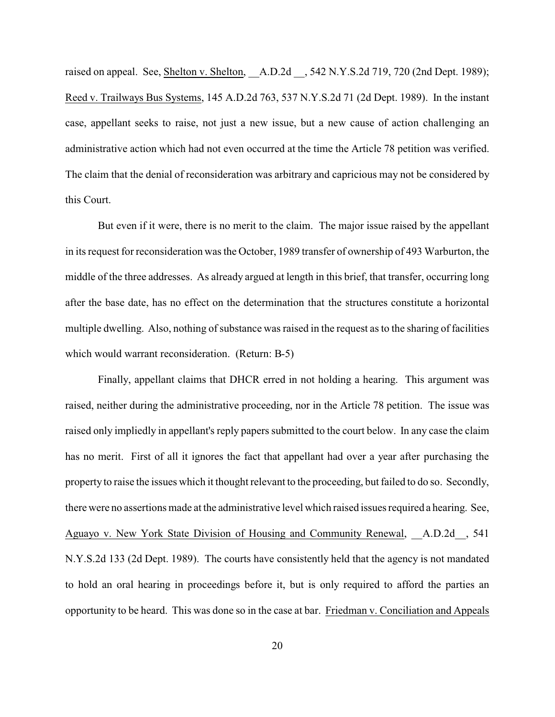raised on appeal. See, Shelton v. Shelton, A.D.2d , 542 N.Y.S.2d 719, 720 (2nd Dept. 1989); Reed v. Trailways Bus Systems, 145 A.D.2d 763, 537 N.Y.S.2d 71 (2d Dept. 1989). In the instant case, appellant seeks to raise, not just a new issue, but a new cause of action challenging an administrative action which had not even occurred at the time the Article 78 petition was verified. The claim that the denial of reconsideration was arbitrary and capricious may not be considered by this Court.

But even if it were, there is no merit to the claim. The major issue raised by the appellant in its request for reconsideration was the October, 1989 transfer of ownership of 493 Warburton, the middle of the three addresses. As already argued at length in this brief, that transfer, occurring long after the base date, has no effect on the determination that the structures constitute a horizontal multiple dwelling. Also, nothing of substance was raised in the request as to the sharing of facilities which would warrant reconsideration. (Return: B-5)

Finally, appellant claims that DHCR erred in not holding a hearing. This argument was raised, neither during the administrative proceeding, nor in the Article 78 petition. The issue was raised only impliedly in appellant's reply papers submitted to the court below. In any case the claim has no merit. First of all it ignores the fact that appellant had over a year after purchasing the property to raise the issues which it thought relevant to the proceeding, but failed to do so. Secondly, there were no assertions made at the administrative level which raised issues required a hearing. See, Aguayo v. New York State Division of Housing and Community Renewal, A.D.2d, 541 N.Y.S.2d 133 (2d Dept. 1989). The courts have consistently held that the agency is not mandated to hold an oral hearing in proceedings before it, but is only required to afford the parties an opportunity to be heard. This was done so in the case at bar. Friedman v. Conciliation and Appeals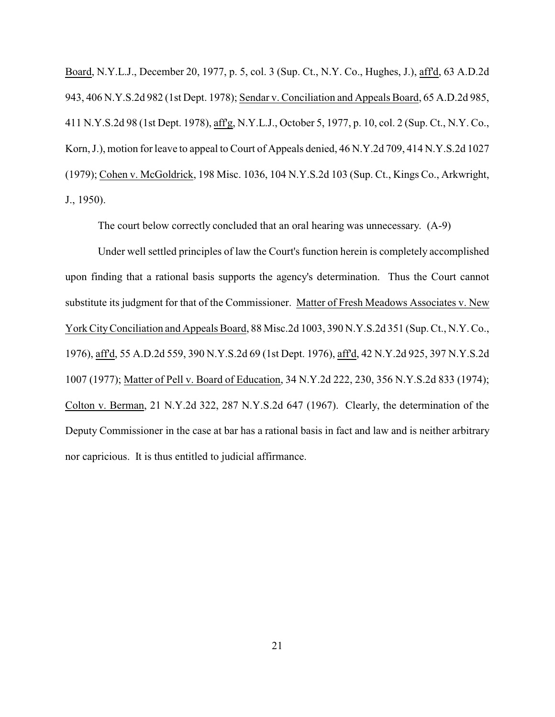Board, N.Y.L.J., December 20, 1977, p. 5, col. 3 (Sup. Ct., N.Y. Co., Hughes, J.), aff'd, 63 A.D.2d 943, 406 N.Y.S.2d 982 (1st Dept. 1978); Sendar v. Conciliation and Appeals Board, 65 A.D.2d 985, 411 N.Y.S.2d 98 (1st Dept. 1978), aff'g, N.Y.L.J., October 5, 1977, p. 10, col. 2 (Sup. Ct., N.Y. Co., Korn, J.), motion for leave to appeal to Court of Appeals denied, 46 N.Y.2d 709, 414 N.Y.S.2d 1027 (1979); Cohen v. McGoldrick, 198 Misc. 1036, 104 N.Y.S.2d 103 (Sup. Ct., Kings Co., Arkwright, J., 1950).

The court below correctly concluded that an oral hearing was unnecessary. (A-9)

Under well settled principles of law the Court's function herein is completely accomplished upon finding that a rational basis supports the agency's determination. Thus the Court cannot substitute its judgment for that of the Commissioner. Matter of Fresh Meadows Associates v. New York CityConciliation and Appeals Board, 88 Misc.2d 1003, 390 N.Y.S.2d 351 (Sup. Ct., N.Y. Co., 1976), aff'd, 55 A.D.2d 559, 390 N.Y.S.2d 69 (1st Dept. 1976), aff'd, 42 N.Y.2d 925, 397 N.Y.S.2d 1007 (1977); Matter of Pell v. Board of Education, 34 N.Y.2d 222, 230, 356 N.Y.S.2d 833 (1974); Colton v. Berman, 21 N.Y.2d 322, 287 N.Y.S.2d 647 (1967). Clearly, the determination of the Deputy Commissioner in the case at bar has a rational basis in fact and law and is neither arbitrary nor capricious. It is thus entitled to judicial affirmance.